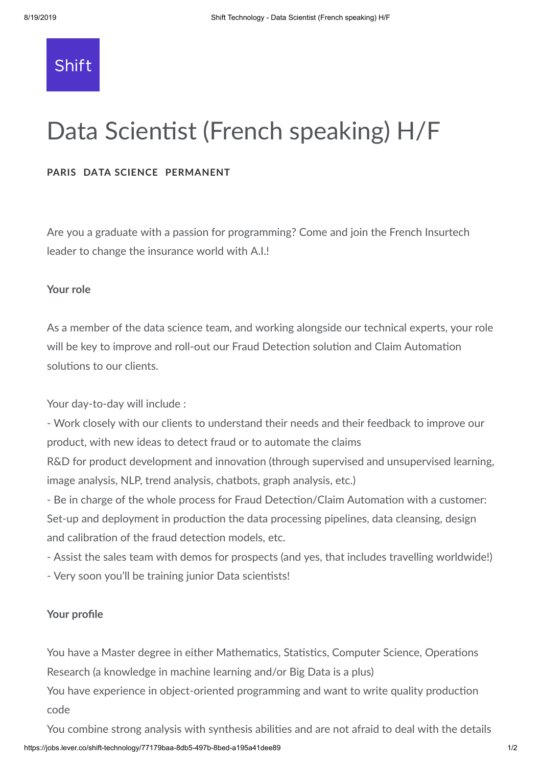# Shift

# Data Scientist (French speaking) H/F

## **PARIS DATA SCIENCE PERMANENT**

Are you a graduate with a passion for programming? Come and join the French Insurtech leader to change the insurance world with A.I.!

#### **Your role**

As a member of the data science team, and working alongside our technical experts, your role will be key to improve and roll-out our Fraud Detection solution and Claim Automation solutions to our clients.

Your day-to-day will include :

- Work closely with our clients to understand their needs and their feedback to improve our product, with new ideas to detect fraud or to automate the claims

R&D for product development and innovation (through supervised and unsupervised learning, image analysis, NLP, trend analysis, chatbots, graph analysis, etc.)

- Be in charge of the whole process for Fraud Detection/Claim Automation with a customer: Set-up and deployment in production the data processing pipelines, data cleansing, design and calibration of the fraud detection models, etc.

- Assist the sales team with demos for prospects (and yes, that includes travelling worldwide!)

- Very soon you'll be training junior Data scientists!

#### **Your profile**

You have a Master degree in either Mathematics, Statistics, Computer Science, Operations Research (a knowledge in machine learning and/or Big Data is a plus)

You have experience in object-oriented programming and want to write quality production code

https://jobs.lever.co/shift-technology/77179baa-8db5-497b-8bed-a195a41dee89 1/2 You combine strong analysis with synthesis abilities and are not afraid to deal with the details